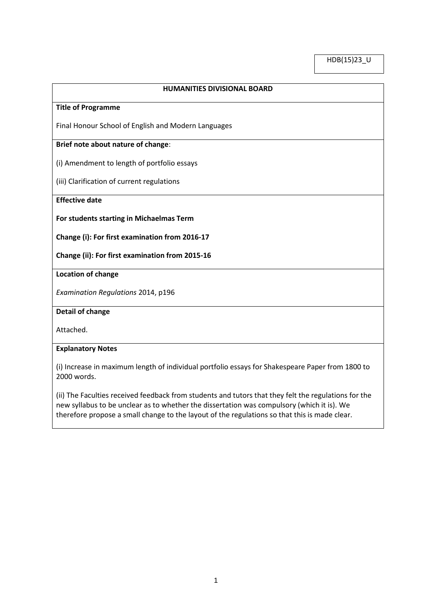HDB(15)23\_U

# **HUMANITIES DIVISIONAL BOARD Title of Programme** Final Honour School of English and Modern Languages **Brief note about nature of change**: (i) Amendment to length of portfolio essays (iii) Clarification of current regulations **Effective date For students starting in Michaelmas Term Change (i): For first examination from 2016-17 Change (ii): For first examination from 2015-16 Location of change** *Examination Regulations* 2014, p196 **Detail of change** Attached. **Explanatory Notes** (i) Increase in maximum length of individual portfolio essays for Shakespeare Paper from 1800 to 2000 words. (ii) The Faculties received feedback from students and tutors that they felt the regulations for the new syllabus to be unclear as to whether the dissertation was compulsory (which it is). We

therefore propose a small change to the layout of the regulations so that this is made clear.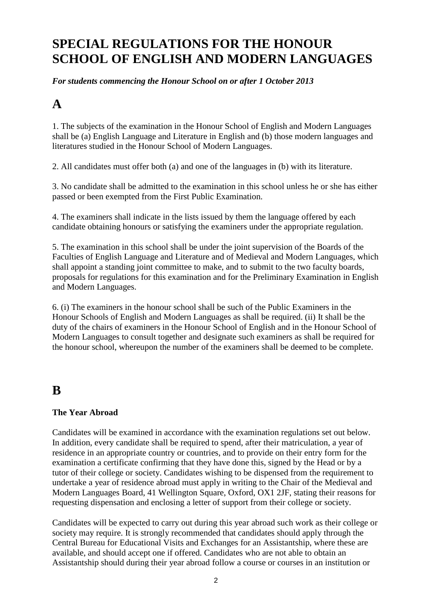# **SPECIAL REGULATIONS FOR THE HONOUR SCHOOL OF ENGLISH AND MODERN LANGUAGES**

*For students commencing the Honour School on or after 1 October 2013*

### **A**

1. The subjects of the examination in the Honour School of English and Modern Languages shall be (a) English Language and Literature in English and (b) those modern languages and literatures studied in the Honour School of Modern Languages.

2. All candidates must offer both (a) and one of the languages in (b) with its literature.

3. No candidate shall be admitted to the examination in this school unless he or she has either passed or been exempted from the First Public Examination.

4. The examiners shall indicate in the lists issued by them the language offered by each candidate obtaining honours or satisfying the examiners under the appropriate regulation.

5. The examination in this school shall be under the joint supervision of the Boards of the Faculties of English Language and Literature and of Medieval and Modern Languages, which shall appoint a standing joint committee to make, and to submit to the two faculty boards, proposals for regulations for this examination and for the Preliminary Examination in English and Modern Languages.

6. (i) The examiners in the honour school shall be such of the Public Examiners in the Honour Schools of English and Modern Languages as shall be required. (ii) It shall be the duty of the chairs of examiners in the Honour School of English and in the Honour School of Modern Languages to consult together and designate such examiners as shall be required for the honour school, whereupon the number of the examiners shall be deemed to be complete.

## **B**

#### **The Year Abroad**

Candidates will be examined in accordance with the examination regulations set out below. In addition, every candidate shall be required to spend, after their matriculation, a year of residence in an appropriate country or countries, and to provide on their entry form for the examination a certificate confirming that they have done this, signed by the Head or by a tutor of their college or society. Candidates wishing to be dispensed from the requirement to undertake a year of residence abroad must apply in writing to the Chair of the Medieval and Modern Languages Board, 41 Wellington Square, Oxford, OX1 2JF, stating their reasons for requesting dispensation and enclosing a letter of support from their college or society.

Candidates will be expected to carry out during this year abroad such work as their college or society may require. It is strongly recommended that candidates should apply through the Central Bureau for Educational Visits and Exchanges for an Assistantship, where these are available, and should accept one if offered. Candidates who are not able to obtain an Assistantship should during their year abroad follow a course or courses in an institution or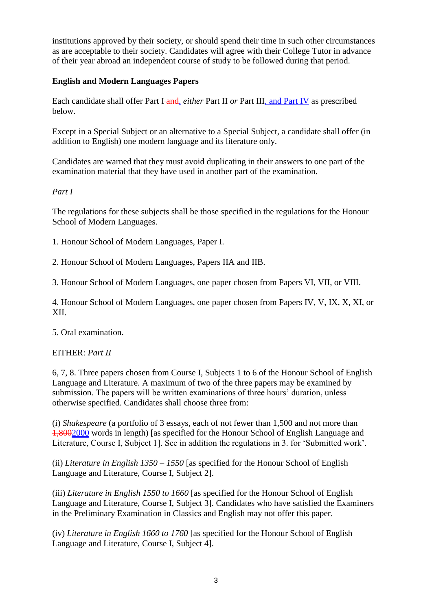institutions approved by their society, or should spend their time in such other circumstances as are acceptable to their society. Candidates will agree with their College Tutor in advance of their year abroad an independent course of study to be followed during that period.

#### **English and Modern Languages Papers**

Each candidate shall offer Part I-and, *either* Part II *or* Part III, and Part IV as prescribed below.

Except in a Special Subject or an alternative to a Special Subject, a candidate shall offer (in addition to English) one modern language and its literature only.

Candidates are warned that they must avoid duplicating in their answers to one part of the examination material that they have used in another part of the examination.

#### *Part I*

The regulations for these subjects shall be those specified in the regulations for the Honour School of Modern Languages.

1. Honour School of Modern Languages, Paper I.

2. Honour School of Modern Languages, Papers IIA and IIB.

3. Honour School of Modern Languages, one paper chosen from Papers VI, VII, or VIII.

4. Honour School of Modern Languages, one paper chosen from Papers IV, V, IX, X, XI, or XII.

5. Oral examination.

#### EITHER: *Part II*

6, 7, 8. Three papers chosen from Course I, Subjects 1 to 6 of the Honour School of English Language and Literature. A maximum of two of the three papers may be examined by submission. The papers will be written examinations of three hours' duration, unless otherwise specified. Candidates shall choose three from:

(i) *Shakespeare* (a portfolio of 3 essays, each of not fewer than 1,500 and not more than 1,8002000 words in length) [as specified for the Honour School of English Language and Literature, Course I, Subject 1]. See in addition the regulations in 3. for 'Submitted work'.

(ii) *Literature in English 1350 – 1550* [as specified for the Honour School of English Language and Literature, Course I, Subject 2].

(iii) *Literature in English 1550 to 1660* [as specified for the Honour School of English Language and Literature, Course I, Subject 3]. Candidates who have satisfied the Examiners in the Preliminary Examination in Classics and English may not offer this paper.

(iv) *Literature in English 1660 to 1760* [as specified for the Honour School of English Language and Literature, Course I, Subject 4].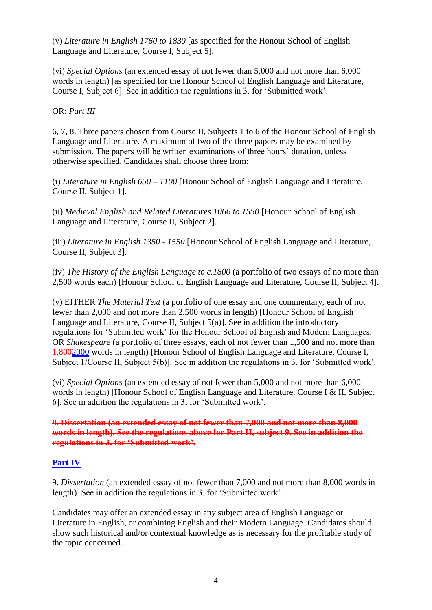(v) *Literature in English 1760 to 1830* [as specified for the Honour School of English Language and Literature, Course I, Subject 5].

(vi) *Special Options* (an extended essay of not fewer than 5,000 and not more than 6,000 words in length) [as specified for the Honour School of English Language and Literature, Course I, Subject 6]. See in addition the regulations in 3. for 'Submitted work'.

OR: *Part III* 

6, 7, 8. Three papers chosen from Course II, Subjects 1 to 6 of the Honour School of English Language and Literature. A maximum of two of the three papers may be examined by submission. The papers will be written examinations of three hours' duration, unless otherwise specified. Candidates shall choose three from:

(i) *Literature in English 650 – 1100* [Honour School of English Language and Literature, Course II, Subject 1].

(ii) *Medieval English and Related Literatures 1066 to 1550* [Honour School of English Language and Literature, Course II, Subject 2].

(iii) *Literature in English 1350 - 1550* [Honour School of English Language and Literature, Course II, Subject 3].

(iv) *The History of the English Language to c.1800* (a portfolio of two essays of no more than 2,500 words each) [Honour School of English Language and Literature, Course II, Subject 4].

(v) EITHER *The Material Text* (a portfolio of one essay and one commentary, each of not fewer than 2,000 and not more than 2,500 words in length) [Honour School of English Language and Literature, Course II, Subject  $5(a)$ ]. See in addition the introductory regulations for 'Submitted work' for the Honour School of English and Modern Languages. OR *Shakespeare* (a portfolio of three essays, each of not fewer than 1,500 and not more than 1,8002000 words in length) [Honour School of English Language and Literature, Course I, Subject 1/Course II, Subject 5(b)]. See in addition the regulations in 3. for 'Submitted work'.

(vi) *Special Options* (an extended essay of not fewer than 5,000 and not more than 6,000 words in length) [Honour School of English Language and Literature, Course I & II, Subject 6]. See in addition the regulations in 3, for 'Submitted work'.

**9. Dissertation (an extended essay of not fewer than 7,000 and not more than 8,000 words in length). See the regulations above for Part II, subject 9. See in addition the regulations in 3. for 'Submitted work'.** 

#### **Part IV**

9. *Dissertation* (an extended essay of not fewer than 7,000 and not more than 8,000 words in length). See in addition the regulations in 3. for 'Submitted work'.

Candidates may offer an extended essay in any subject area of English Language or Literature in English, or combining English and their Modern Language. Candidates should show such historical and/or contextual knowledge as is necessary for the profitable study of the topic concerned.